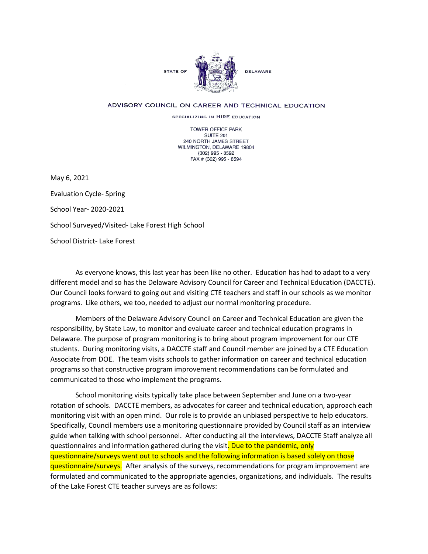

## ADVISORY COUNCIL ON CAREER AND TECHNICAL EDUCATION

SPECIALIZING IN HIRE EDUCATION

TOWER OFFICE PARK SUITE 201 240 NORTH JAMES STREET WILMINGTON, DELAWARE 19804 (302) 995 - 8592 FAX # (302) 995 - 8594

May 6, 2021

Evaluation Cycle- Spring School Year- 2020-2021 School Surveyed/Visited- Lake Forest High School School District- Lake Forest

As everyone knows, this last year has been like no other. Education has had to adapt to a very different model and so has the Delaware Advisory Council for Career and Technical Education (DACCTE). Our Council looks forward to going out and visiting CTE teachers and staff in our schools as we monitor programs. Like others, we too, needed to adjust our normal monitoring procedure.

Members of the Delaware Advisory Council on Career and Technical Education are given the responsibility, by State Law, to monitor and evaluate career and technical education programs in Delaware. The purpose of program monitoring is to bring about program improvement for our CTE students. During monitoring visits, a DACCTE staff and Council member are joined by a CTE Education Associate from DOE. The team visits schools to gather information on career and technical education programs so that constructive program improvement recommendations can be formulated and communicated to those who implement the programs.

School monitoring visits typically take place between September and June on a two-year rotation of schools. DACCTE members, as advocates for career and technical education, approach each monitoring visit with an open mind. Our role is to provide an unbiased perspective to help educators. Specifically, Council members use a monitoring questionnaire provided by Council staff as an interview guide when talking with school personnel. After conducting all the interviews, DACCTE Staff analyze all questionnaires and information gathered during the visit. Due to the pandemic, only questionnaire/surveys went out to schools and the following information is based solely on those questionnaire/surveys. After analysis of the surveys, recommendations for program improvement are formulated and communicated to the appropriate agencies, organizations, and individuals. The results of the Lake Forest CTE teacher surveys are as follows: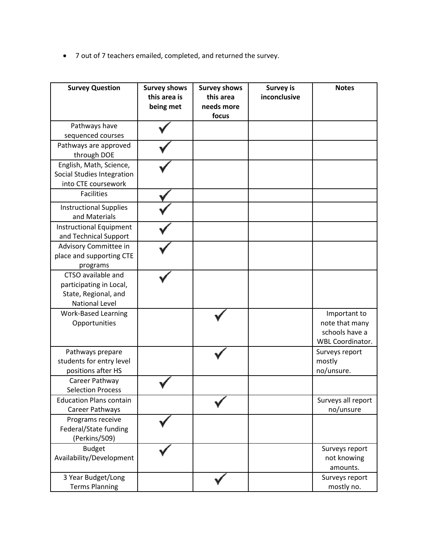• 7 out of 7 teachers emailed, completed, and returned the survey.

| <b>Survey Question</b>                                                                         | <b>Survey shows</b><br>this area is<br>being met | <b>Survey shows</b><br>this area<br>needs more<br>focus | <b>Survey is</b><br>inconclusive | <b>Notes</b>                                                                |
|------------------------------------------------------------------------------------------------|--------------------------------------------------|---------------------------------------------------------|----------------------------------|-----------------------------------------------------------------------------|
| Pathways have<br>sequenced courses                                                             |                                                  |                                                         |                                  |                                                                             |
| Pathways are approved<br>through DOE                                                           |                                                  |                                                         |                                  |                                                                             |
| English, Math, Science,<br>Social Studies Integration<br>into CTE coursework                   |                                                  |                                                         |                                  |                                                                             |
| <b>Facilities</b>                                                                              |                                                  |                                                         |                                  |                                                                             |
| <b>Instructional Supplies</b><br>and Materials                                                 |                                                  |                                                         |                                  |                                                                             |
| Instructional Equipment<br>and Technical Support                                               |                                                  |                                                         |                                  |                                                                             |
| Advisory Committee in<br>place and supporting CTE<br>programs                                  |                                                  |                                                         |                                  |                                                                             |
| CTSO available and<br>participating in Local,<br>State, Regional, and<br><b>National Level</b> |                                                  |                                                         |                                  |                                                                             |
| <b>Work-Based Learning</b><br>Opportunities                                                    |                                                  |                                                         |                                  | Important to<br>note that many<br>schools have a<br><b>WBL Coordinator.</b> |
| Pathways prepare<br>students for entry level<br>positions after HS                             |                                                  |                                                         |                                  | Surveys report<br>mostly<br>no/unsure.                                      |
| Career Pathway<br><b>Selection Process</b>                                                     |                                                  |                                                         |                                  |                                                                             |
| <b>Education Plans contain</b><br>Career Pathways                                              |                                                  |                                                         |                                  | Surveys all report<br>no/unsure                                             |
| Programs receive<br>Federal/State funding<br>(Perkins/509)                                     |                                                  |                                                         |                                  |                                                                             |
| <b>Budget</b><br>Availability/Development                                                      |                                                  |                                                         |                                  | Surveys report<br>not knowing<br>amounts.                                   |
| 3 Year Budget/Long<br><b>Terms Planning</b>                                                    |                                                  |                                                         |                                  | Surveys report<br>mostly no.                                                |